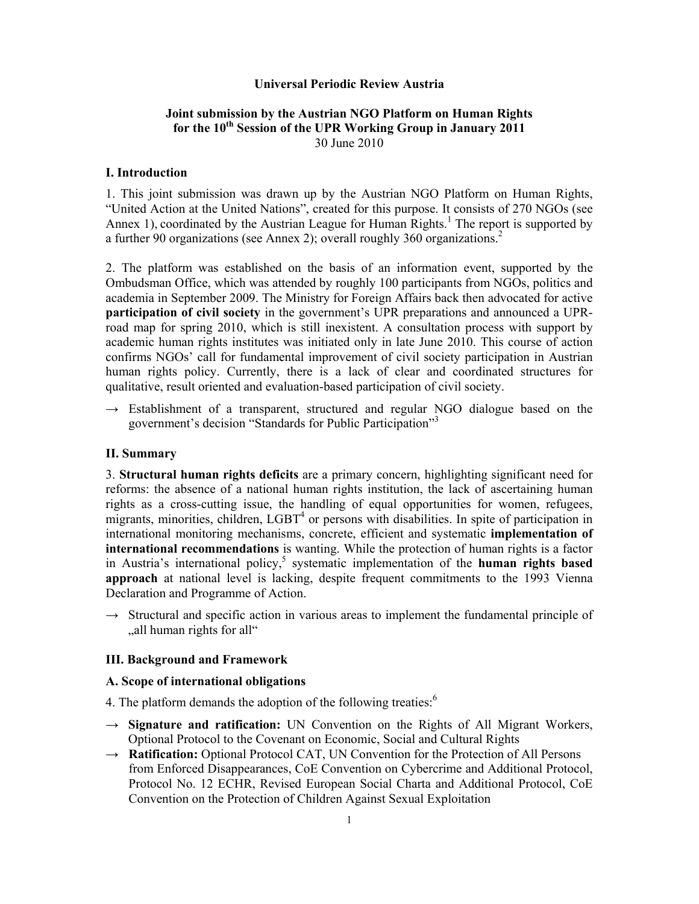## **Universal Periodic Review Austria**

# **Joint submission by the Austrian NGO Platform on Human Rights**  for the 10<sup>th</sup> Session of the UPR Working Group in January 2011 30 June 2010

### **I. Introduction**

1. This joint submission was drawn up by the Austrian NGO Platform on Human Rights, "United Action at the United Nations", created for this purpose. It consists of 270 NGOs (see Annex 1), coordinated by the Austrian League for Human Rights.<sup>1</sup> The report is supported by a further 90 organizations (see Annex 2); overall roughly 360 organizations.<sup>2</sup>

2. The platform was established on the basis of an information event, supported by the Ombudsman Office, which was attended by roughly 100 participants from NGOs, politics and academia in September 2009. The Ministry for Foreign Affairs back then advocated for active **participation of civil society** in the government's UPR preparations and announced a UPRroad map for spring 2010, which is still inexistent. A consultation process with support by academic human rights institutes was initiated only in late June 2010. This course of action confirms NGOs' call for fundamental improvement of civil society participation in Austrian human rights policy. Currently, there is a lack of clear and coordinated structures for qualitative, result oriented and evaluation-based participation of civil society.

 $\rightarrow$  Establishment of a transparent, structured and regular NGO dialogue based on the government's decision "Standards for Public Participation"3

## **II. Summary**

3. **Structural human rights deficits** are a primary concern, highlighting significant need for reforms: the absence of a national human rights institution, the lack of ascertaining human rights as a cross-cutting issue, the handling of equal opportunities for women, refugees, migrants, minorities, children, LGBT<sup>4</sup> or persons with disabilities. In spite of participation in international monitoring mechanisms, concrete, efficient and systematic **implementation of international recommendations** is wanting. While the protection of human rights is a factor in Austria's international policy,<sup>5</sup> systematic implementation of the **human rights based approach** at national level is lacking, despite frequent commitments to the 1993 Vienna Declaration and Programme of Action.

 $\rightarrow$  Structural and specific action in various areas to implement the fundamental principle of ", all human rights for all.

## **III. Background and Framework**

### **A. Scope of international obligations**

4. The platform demands the adoption of the following treaties: $<sup>6</sup>$ </sup>

- → **Signature and ratification:** UN Convention on the Rights of All Migrant Workers, Optional Protocol to the Covenant on Economic, Social and Cultural Rights
- → **Ratification:** Optional Protocol CAT, UN Convention for the Protection of All Persons from Enforced Disappearances, CoE Convention on Cybercrime and Additional Protocol, Protocol No. 12 ECHR, Revised European Social Charta and Additional Protocol, CoE Convention on the Protection of Children Against Sexual Exploitation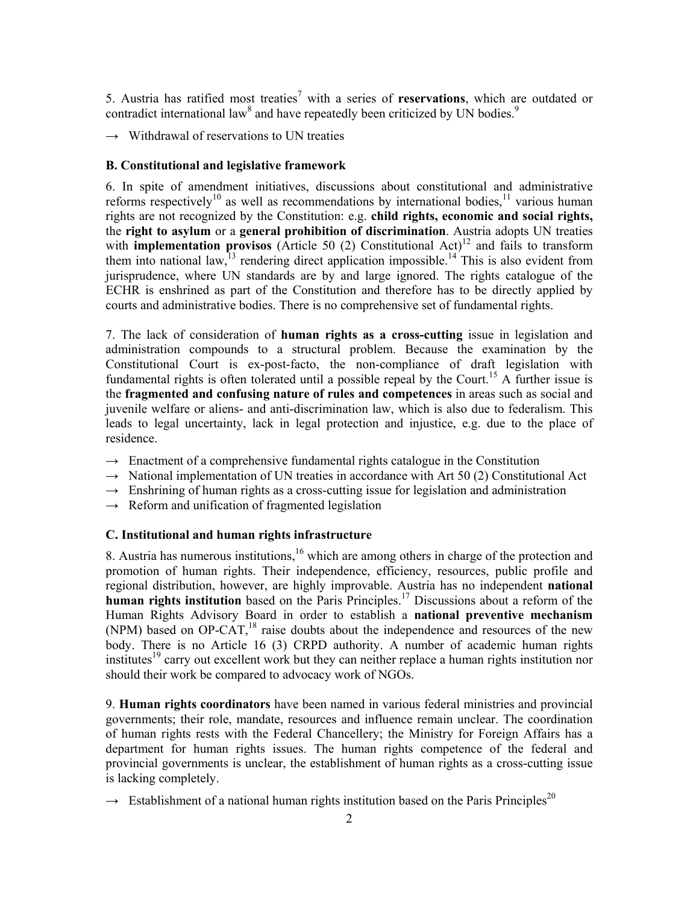5. Austria has ratified most treaties<sup>7</sup> with a series of **reservations**, which are outdated or contradict international law<sup>8</sup> and have repeatedly been criticized by UN bodies.<sup>9</sup>

 $\rightarrow$  Withdrawal of reservations to UN treaties

## **B. Constitutional and legislative framework**

6. In spite of amendment initiatives, discussions about constitutional and administrative reforms respectively<sup>10</sup> as well as recommendations by international bodies,<sup>11</sup> various human rights are not recognized by the Constitution: e.g. **child rights, economic and social rights,**  the **right to asylum** or a **general prohibition of discrimination**. Austria adopts UN treaties with **implementation provisos** (Article 50 (2) Constitutional Act)<sup>12</sup> and fails to transform them into national law,  $^{13}$  rendering direct application impossible.<sup>14</sup> This is also evident from jurisprudence, where UN standards are by and large ignored. The rights catalogue of the ECHR is enshrined as part of the Constitution and therefore has to be directly applied by courts and administrative bodies. There is no comprehensive set of fundamental rights.

7. The lack of consideration of **human rights as a cross-cutting** issue in legislation and administration compounds to a structural problem. Because the examination by the Constitutional Court is ex-post-facto, the non-compliance of draft legislation with fundamental rights is often tolerated until a possible repeal by the Court.<sup>15</sup> A further issue is the **fragmented and confusing nature of rules and competences** in areas such as social and juvenile welfare or aliens- and anti-discrimination law, which is also due to federalism. This leads to legal uncertainty, lack in legal protection and injustice, e.g. due to the place of residence.

- $\rightarrow$  Enactment of a comprehensive fundamental rights catalogue in the Constitution
- **→** National implementation of UN treaties in accordance with Art 50 (2) Constitutional Act
- $\rightarrow$  Enshrining of human rights as a cross-cutting issue for legislation and administration
- **→** Reform and unification of fragmented legislation

# **C. Institutional and human rights infrastructure**

8. Austria has numerous institutions,<sup>16</sup> which are among others in charge of the protection and promotion of human rights. Their independence, efficiency, resources, public profile and regional distribution, however, are highly improvable. Austria has no independent **national human rights institution** based on the Paris Principles.<sup>17</sup> Discussions about a reform of the Human Rights Advisory Board in order to establish a **national preventive mechanism** (NPM) based on OP-CAT,<sup>18</sup> raise doubts about the independence and resources of the new body. There is no Article 16 (3) CRPD authority. A number of academic human rights institutes<sup>19</sup> carry out excellent work but they can neither replace a human rights institution nor should their work be compared to advocacy work of NGOs.

9. **Human rights coordinators** have been named in various federal ministries and provincial governments; their role, mandate, resources and influence remain unclear. The coordination of human rights rests with the Federal Chancellery; the Ministry for Foreign Affairs has a department for human rights issues. The human rights competence of the federal and provincial governments is unclear, the establishment of human rights as a cross-cutting issue is lacking completely.

 $\rightarrow$  **Establishment of a national human rights institution based on the Paris Principles<sup>20</sup>**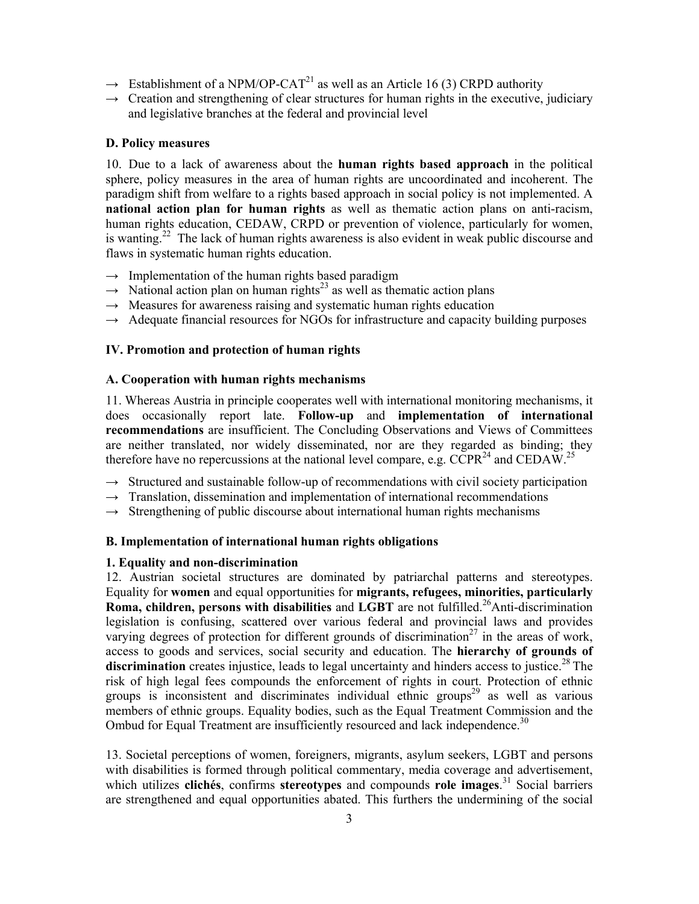- $\rightarrow$  Establishment of a NPM/OP-CAT<sup>21</sup> as well as an Article 16 (3) CRPD authority
- $\rightarrow$  Creation and strengthening of clear structures for human rights in the executive, judiciary and legislative branches at the federal and provincial level

## **D. Policy measures**

10. Due to a lack of awareness about the **human rights based approach** in the political sphere, policy measures in the area of human rights are uncoordinated and incoherent. The paradigm shift from welfare to a rights based approach in social policy is not implemented. A **national action plan for human rights** as well as thematic action plans on anti-racism, human rights education, CEDAW, CRPD or prevention of violence, particularly for women, is wanting.<sup>22</sup> The lack of human rights awareness is also evident in weak public discourse and flaws in systematic human rights education.

- **→** Implementation of the human rights based paradigm
- $\rightarrow$  National action plan on human rights<sup>23</sup> as well as thematic action plans
- $\rightarrow$  Measures for awareness raising and systematic human rights education
- $\rightarrow$  Adequate financial resources for NGOs for infrastructure and capacity building purposes

## **IV. Promotion and protection of human rights**

### **A. Cooperation with human rights mechanisms**

11. Whereas Austria in principle cooperates well with international monitoring mechanisms, it does occasionally report late. **Follow-up** and **implementation of international recommendations** are insufficient. The Concluding Observations and Views of Committees are neither translated, nor widely disseminated, nor are they regarded as binding; they therefore have no repercussions at the national level compare, e.g.  $CCPR<sup>24</sup>$  and  $CEDAW<sup>25</sup>$ 

- $\rightarrow$  Structured and sustainable follow-up of recommendations with civil society participation
- $\rightarrow$  Translation, dissemination and implementation of international recommendations
- $\rightarrow$  Strengthening of public discourse about international human rights mechanisms

# **B. Implementation of international human rights obligations**

### **1. Equality and non-discrimination**

12. Austrian societal structures are dominated by patriarchal patterns and stereotypes. Equality for **women** and equal opportunities for **migrants, refugees, minorities, particularly Roma, children, persons with disabilities** and **LGBT** are not fulfilled.<sup>26</sup>Anti-discrimination legislation is confusing, scattered over various federal and provincial laws and provides varying degrees of protection for different grounds of discrimination<sup>27</sup> in the areas of work, access to goods and services, social security and education. The **hierarchy of grounds of**  discrimination creates injustice, leads to legal uncertainty and hinders access to justice.<sup>28</sup> The risk of high legal fees compounds the enforcement of rights in court. Protection of ethnic groups is inconsistent and discriminates individual ethnic groups<sup>29</sup> as well as various members of ethnic groups. Equality bodies, such as the Equal Treatment Commission and the Ombud for Equal Treatment are insufficiently resourced and lack independence.<sup>30</sup>

13. Societal perceptions of women, foreigners, migrants, asylum seekers, LGBT and persons with disabilities is formed through political commentary, media coverage and advertisement, which utilizes **clichés**, confirms **stereotypes** and compounds **role images**. 31 Social barriers are strengthened and equal opportunities abated. This furthers the undermining of the social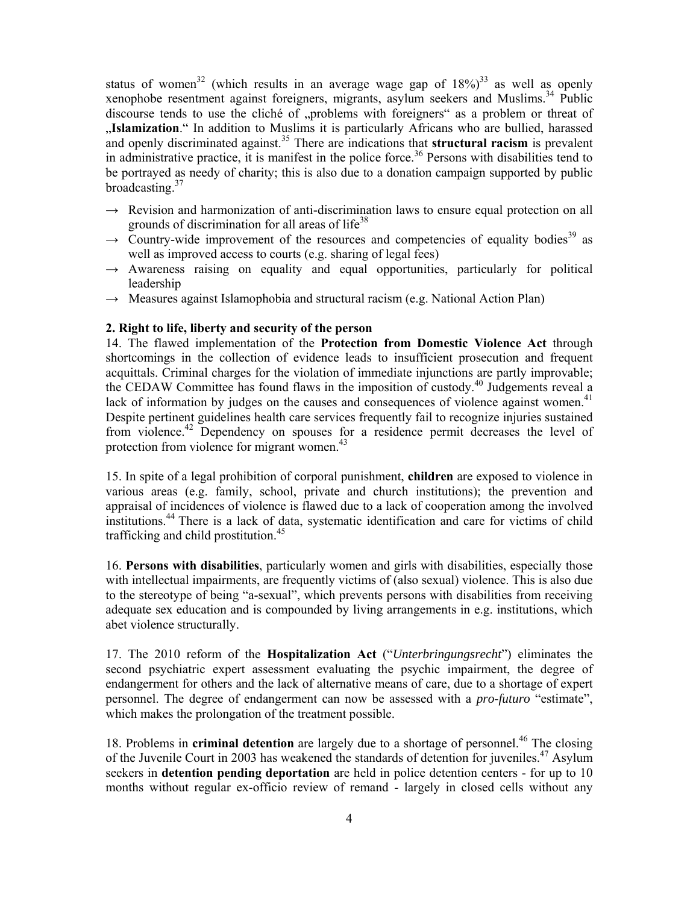status of women<sup>32</sup> (which results in an average wage gap of  $18\%$ )<sup>33</sup> as well as openly xenophobe resentment against foreigners, migrants, asylum seekers and Muslims.34 Public discourse tends to use the cliché of "problems with foreigners" as a problem or threat of "Islamization." In addition to Muslims it is particularly Africans who are bullied, harassed and openly discriminated against.<sup>35</sup> There are indications that **structural racism** is prevalent in administrative practice, it is manifest in the police force.<sup>36</sup> Persons with disabilities tend to be portrayed as needy of charity; this is also due to a donation campaign supported by public broadcasting.37

- $\rightarrow$  Revision and harmonization of anti-discrimination laws to ensure equal protection on all grounds of discrimination for all areas of  $life^{38}$
- $\rightarrow$  Country-wide improvement of the resources and competencies of equality bodies<sup>39</sup> as well as improved access to courts (e.g. sharing of legal fees)
- $\rightarrow$  Awareness raising on equality and equal opportunities, particularly for political leadership
- $\rightarrow$  Measures against Islamophobia and structural racism (e.g. National Action Plan)

# **2. Right to life, liberty and security of the person**

14. The flawed implementation of the **Protection from Domestic Violence Act** through shortcomings in the collection of evidence leads to insufficient prosecution and frequent acquittals. Criminal charges for the violation of immediate injunctions are partly improvable; the CEDAW Committee has found flaws in the imposition of custody.<sup>40</sup> Judgements reveal a lack of information by judges on the causes and consequences of violence against women.<sup>41</sup> Despite pertinent guidelines health care services frequently fail to recognize injuries sustained from violence.42 Dependency on spouses for a residence permit decreases the level of protection from violence for migrant women.<sup>43</sup>

15. In spite of a legal prohibition of corporal punishment, **children** are exposed to violence in various areas (e.g. family, school, private and church institutions); the prevention and appraisal of incidences of violence is flawed due to a lack of cooperation among the involved institutions.44 There is a lack of data, systematic identification and care for victims of child trafficking and child prostitution.<sup>45</sup>

16. **Persons with disabilities**, particularly women and girls with disabilities, especially those with intellectual impairments, are frequently victims of (also sexual) violence. This is also due to the stereotype of being "a-sexual", which prevents persons with disabilities from receiving adequate sex education and is compounded by living arrangements in e.g. institutions, which abet violence structurally.

17. The 2010 reform of the **Hospitalization Act** ("*Unterbringungsrecht*") eliminates the second psychiatric expert assessment evaluating the psychic impairment, the degree of endangerment for others and the lack of alternative means of care, due to a shortage of expert personnel. The degree of endangerment can now be assessed with a *pro-futuro* "estimate", which makes the prolongation of the treatment possible.

18. Problems in **criminal detention** are largely due to a shortage of personnel.<sup>46</sup> The closing of the Juvenile Court in 2003 has weakened the standards of detention for juveniles.<sup>47</sup> Asylum seekers in **detention pending deportation** are held in police detention centers - for up to 10 months without regular ex-officio review of remand - largely in closed cells without any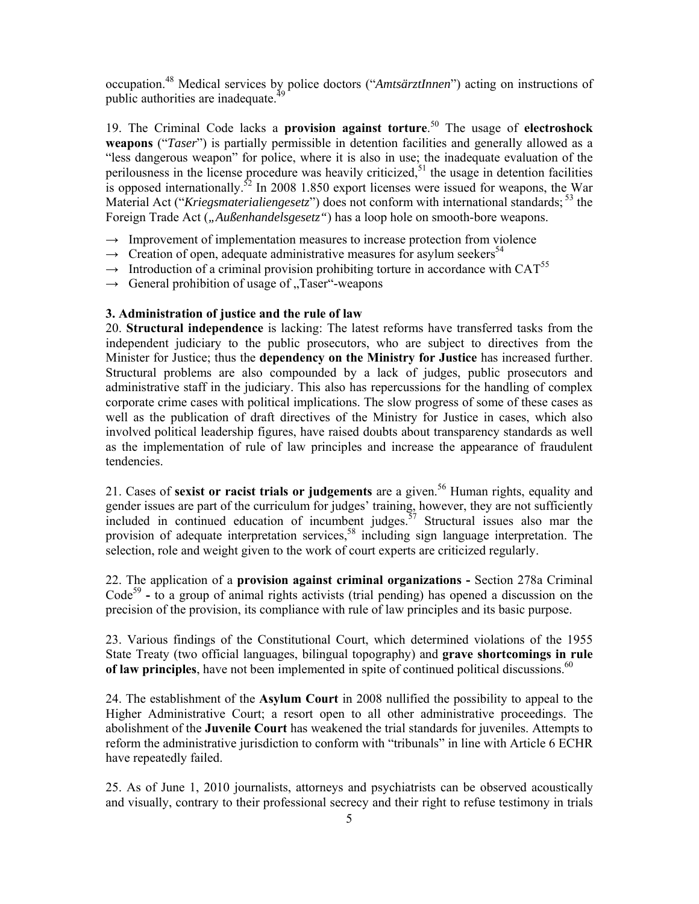occupation.48 Medical services by police doctors ("*AmtsärztInnen*") acting on instructions of public authorities are inadequate.<sup>4</sup>

19. The Criminal Code lacks a **provision against torture**. 50 The usage of **electroshock weapons** ("*Taser*") is partially permissible in detention facilities and generally allowed as a "less dangerous weapon" for police, where it is also in use; the inadequate evaluation of the perilousness in the license procedure was heavily criticized,<sup>51</sup> the usage in detention facilities is opposed internationally.<sup>52</sup> In 2008 1.850 export licenses were issued for weapons, the War Material Act ("*Kriegsmaterialiengesetz*") does not conform with international standards; 53 the Foreign Trade Act (*"Außenhandelsgesetz"*) has a loop hole on smooth-bore weapons.

- $\rightarrow$  Improvement of implementation measures to increase protection from violence
- $\rightarrow$  Creation of open, adequate administrative measures for asylum seekers<sup>54</sup>
- $\rightarrow$  Introduction of a criminal provision prohibiting torture in accordance with CAT<sup>55</sup>
- $\rightarrow$  General prohibition of usage of . Taser "-weapons"

# **3. Administration of justice and the rule of law**

20. **Structural independence** is lacking: The latest reforms have transferred tasks from the independent judiciary to the public prosecutors, who are subject to directives from the Minister for Justice; thus the **dependency on the Ministry for Justice** has increased further. Structural problems are also compounded by a lack of judges, public prosecutors and administrative staff in the judiciary. This also has repercussions for the handling of complex corporate crime cases with political implications. The slow progress of some of these cases as well as the publication of draft directives of the Ministry for Justice in cases, which also involved political leadership figures, have raised doubts about transparency standards as well as the implementation of rule of law principles and increase the appearance of fraudulent tendencies.

21. Cases of **sexist or racist trials or judgements** are a given.<sup>56</sup> Human rights, equality and gender issues are part of the curriculum for judges' training, however, they are not sufficiently included in continued education of incumbent judges.<sup> $57$ </sup> Structural issues also mar the provision of adequate interpretation services,<sup>58</sup> including sign language interpretation. The selection, role and weight given to the work of court experts are criticized regularly.

22. The application of a **provision against criminal organizations -** Section 278a Criminal Code<sup>59</sup> **-** to a group of animal rights activists (trial pending) has opened a discussion on the precision of the provision, its compliance with rule of law principles and its basic purpose.

23. Various findings of the Constitutional Court, which determined violations of the 1955 State Treaty (two official languages, bilingual topography) and **grave shortcomings in rule of law principles**, have not been implemented in spite of continued political discussions.<sup>60</sup>

24. The establishment of the **Asylum Court** in 2008 nullified the possibility to appeal to the Higher Administrative Court; a resort open to all other administrative proceedings. The abolishment of the **Juvenile Court** has weakened the trial standards for juveniles. Attempts to reform the administrative jurisdiction to conform with "tribunals" in line with Article 6 ECHR have repeatedly failed.

25. As of June 1, 2010 journalists, attorneys and psychiatrists can be observed acoustically and visually, contrary to their professional secrecy and their right to refuse testimony in trials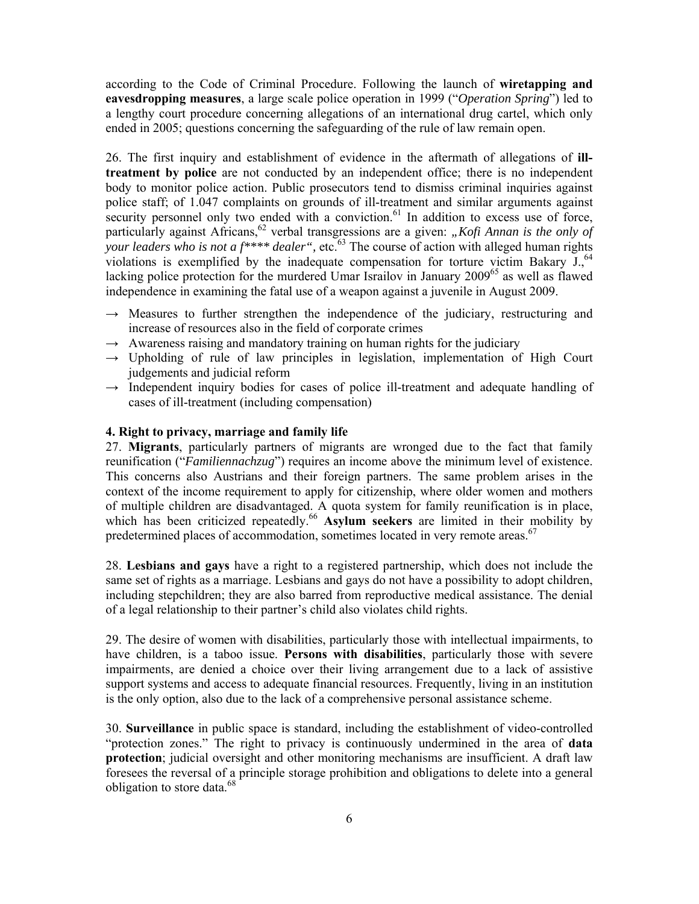according to the Code of Criminal Procedure. Following the launch of **wiretapping and eavesdropping measures**, a large scale police operation in 1999 ("*Operation Spring*") led to a lengthy court procedure concerning allegations of an international drug cartel, which only ended in 2005; questions concerning the safeguarding of the rule of law remain open.

26. The first inquiry and establishment of evidence in the aftermath of allegations of **illtreatment by police** are not conducted by an independent office; there is no independent body to monitor police action. Public prosecutors tend to dismiss criminal inquiries against police staff; of 1.047 complaints on grounds of ill-treatment and similar arguments against security personnel only two ended with a conviction.<sup>61</sup> In addition to excess use of force, particularly against Africans,<sup>62</sup> verbal transgressions are a given: "Kofi Annan is the only of your leaders who is not a f<sup>\*\*\*\*</sup> dealer", etc.<sup>63</sup> The course of action with alleged human rights violations is exemplified by the inadequate compensation for torture victim Bakary  $J<sub>1</sub>$ <sup>64</sup> lacking police protection for the murdered Umar Israilov in January 2009<sup>65</sup> as well as flawed independence in examining the fatal use of a weapon against a juvenile in August 2009.

- → Measures to further strengthen the independence of the judiciary, restructuring and increase of resources also in the field of corporate crimes
- $\rightarrow$  Awareness raising and mandatory training on human rights for the judiciary
- **→** Upholding of rule of law principles in legislation, implementation of High Court judgements and judicial reform
- **→** Independent inquiry bodies for cases of police ill-treatment and adequate handling of cases of ill-treatment (including compensation)

# **4. Right to privacy, marriage and family life**

27. **Migrants**, particularly partners of migrants are wronged due to the fact that family reunification ("*Familiennachzug*") requires an income above the minimum level of existence. This concerns also Austrians and their foreign partners. The same problem arises in the context of the income requirement to apply for citizenship, where older women and mothers of multiple children are disadvantaged. A quota system for family reunification is in place, which has been criticized repeatedly.<sup>66</sup> Asylum seekers are limited in their mobility by predetermined places of accommodation, sometimes located in very remote areas.<sup>67</sup>

28. **Lesbians and gays** have a right to a registered partnership, which does not include the same set of rights as a marriage. Lesbians and gays do not have a possibility to adopt children, including stepchildren; they are also barred from reproductive medical assistance. The denial of a legal relationship to their partner's child also violates child rights.

29. The desire of women with disabilities, particularly those with intellectual impairments, to have children, is a taboo issue. **Persons with disabilities**, particularly those with severe impairments, are denied a choice over their living arrangement due to a lack of assistive support systems and access to adequate financial resources. Frequently, living in an institution is the only option, also due to the lack of a comprehensive personal assistance scheme.

30. **Surveillance** in public space is standard, including the establishment of video-controlled "protection zones." The right to privacy is continuously undermined in the area of **data protection**; judicial oversight and other monitoring mechanisms are insufficient. A draft law foresees the reversal of a principle storage prohibition and obligations to delete into a general obligation to store data.<sup>68</sup>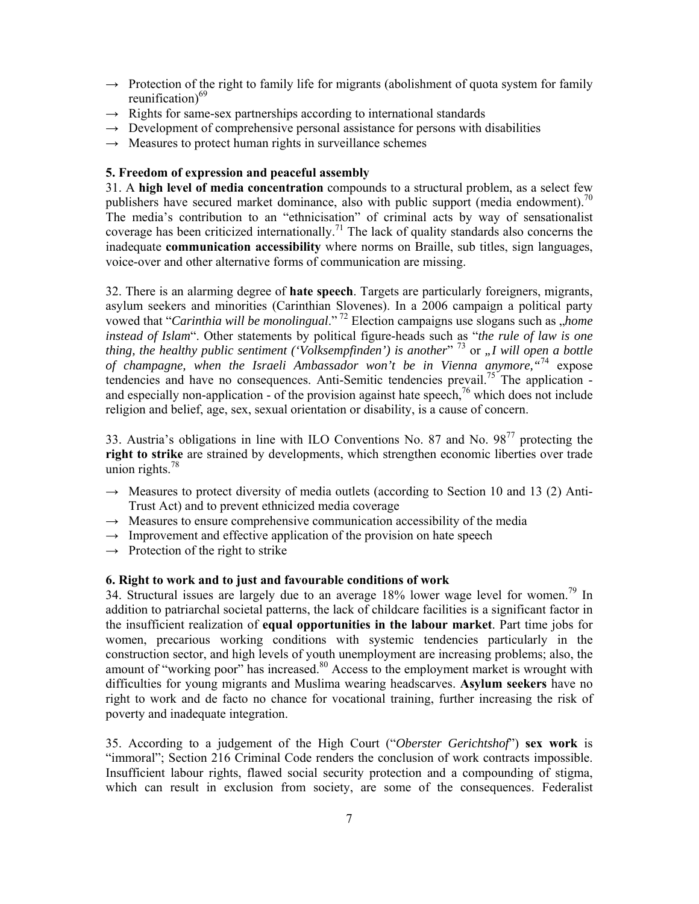- **→** Protection of the right to family life for migrants (abolishment of quota system for family reunification) $69$
- **→** Rights for same-sex partnerships according to international standards
- $\rightarrow$  Development of comprehensive personal assistance for persons with disabilities
- $\rightarrow$  Measures to protect human rights in surveillance schemes

# **5. Freedom of expression and peaceful assembly**

31. A **high level of media concentration** compounds to a structural problem, as a select few publishers have secured market dominance, also with public support (media endowment).<sup>70</sup> The media's contribution to an "ethnicisation" of criminal acts by way of sensationalist coverage has been criticized internationally.<sup>71</sup> The lack of quality standards also concerns the inadequate **communication accessibility** where norms on Braille, sub titles, sign languages, voice-over and other alternative forms of communication are missing.

32. There is an alarming degree of **hate speech**. Targets are particularly foreigners, migrants, asylum seekers and minorities (Carinthian Slovenes). In a 2006 campaign a political party vowed that "*Carinthia will be monolingual*."<sup>72</sup> Election campaigns use slogans such as *, home instead of Islam*". Other statements by political figure-heads such as "*the rule of law is one thing, the healthy public sentiment ('Volksempfinden') is another*<sup>" 73</sup> or *"I will open a bottle of champagne, when the Israeli Ambassador won't be in Vienna anymore,"*74 expose tendencies and have no consequences. Anti-Semitic tendencies prevail.<sup>75</sup> The application and especially non-application - of the provision against hate speech,  $\frac{76}{10}$  which does not include religion and belief, age, sex, sexual orientation or disability, is a cause of concern.

33. Austria's obligations in line with ILO Conventions No. 87 and No. 9877 protecting the **right to strike** are strained by developments, which strengthen economic liberties over trade union rights. $78$ 

- → Measures to protect diversity of media outlets (according to Section 10 and 13 (2) Anti-Trust Act) and to prevent ethnicized media coverage
- **→** Measures to ensure comprehensive communication accessibility of the media
- $\rightarrow$  Improvement and effective application of the provision on hate speech
- $\rightarrow$  Protection of the right to strike

# **6. Right to work and to just and favourable conditions of work**

34. Structural issues are largely due to an average  $18\%$  lower wage level for women.<sup>79</sup> In addition to patriarchal societal patterns, the lack of childcare facilities is a significant factor in the insufficient realization of **equal opportunities in the labour market**. Part time jobs for women, precarious working conditions with systemic tendencies particularly in the construction sector, and high levels of youth unemployment are increasing problems; also, the amount of "working poor" has increased.<sup>80</sup> Access to the employment market is wrought with difficulties for young migrants and Muslima wearing headscarves. **Asylum seekers** have no right to work and de facto no chance for vocational training, further increasing the risk of poverty and inadequate integration.

35. According to a judgement of the High Court ("*Oberster Gerichtshof*") **sex work** is "immoral"; Section 216 Criminal Code renders the conclusion of work contracts impossible. Insufficient labour rights, flawed social security protection and a compounding of stigma, which can result in exclusion from society, are some of the consequences. Federalist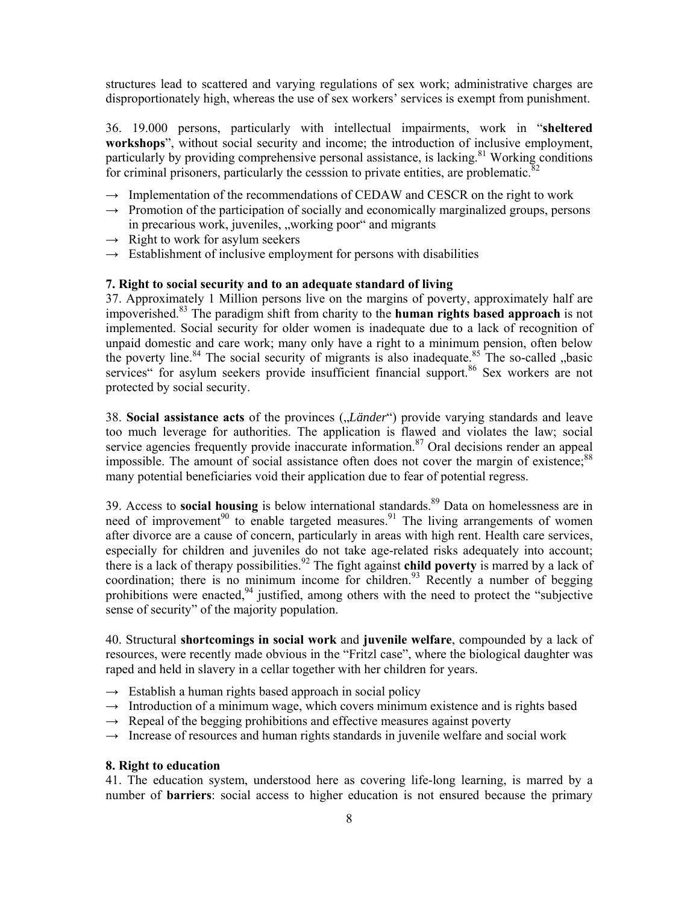structures lead to scattered and varying regulations of sex work; administrative charges are disproportionately high, whereas the use of sex workers' services is exempt from punishment.

36. 19.000 persons, particularly with intellectual impairments, work in "**sheltered workshops**", without social security and income; the introduction of inclusive employment, particularly by providing comprehensive personal assistance, is lacking.<sup>81</sup> Working conditions for criminal prisoners, particularly the cesssion to private entities, are problematic. $82$ 

- **→** Implementation of the recommendations of CEDAW and CESCR on the right to work
- → Promotion of the participation of socially and economically marginalized groups, persons in precarious work, juveniles, "working poor" and migrants
- **→** Right to work for asylum seekers
- $\rightarrow$  Establishment of inclusive employment for persons with disabilities

# **7. Right to social security and to an adequate standard of living**

37. Approximately 1 Million persons live on the margins of poverty, approximately half are impoverished.83 The paradigm shift from charity to the **human rights based approach** is not implemented. Social security for older women is inadequate due to a lack of recognition of unpaid domestic and care work; many only have a right to a minimum pension, often below the poverty line.<sup>84</sup> The social security of migrants is also inadequate.<sup>85</sup> The so-called "basic services" for asylum seekers provide insufficient financial support.<sup>86</sup> Sex workers are not protected by social security.

38. **Social assistance acts** of the provinces (*"Länder"*) provide varying standards and leave too much leverage for authorities. The application is flawed and violates the law; social service agencies frequently provide inaccurate information.<sup>87</sup> Oral decisions render an appeal impossible. The amount of social assistance often does not cover the margin of existence;<sup>88</sup> many potential beneficiaries void their application due to fear of potential regress.

39. Access to **social housing** is below international standards.<sup>89</sup> Data on homelessness are in need of improvement<sup>90</sup> to enable targeted measures.<sup>91</sup> The living arrangements of women after divorce are a cause of concern, particularly in areas with high rent. Health care services, especially for children and juveniles do not take age-related risks adequately into account; there is a lack of therapy possibilities.92 The fight against **child poverty** is marred by a lack of coordination; there is no minimum income for children.<sup>93</sup> Recently a number of begging prohibitions were enacted, $94$  justified, among others with the need to protect the "subjective" sense of security" of the majority population.

40. Structural **shortcomings in social work** and **juvenile welfare**, compounded by a lack of resources, were recently made obvious in the "Fritzl case", where the biological daughter was raped and held in slavery in a cellar together with her children for years.

- **→** Establish a human rights based approach in social policy
- → Introduction of a minimum wage, which covers minimum existence and is rights based
- $\rightarrow$  Repeal of the begging prohibitions and effective measures against poverty
- **→** Increase of resources and human rights standards in juvenile welfare and social work

## **8. Right to education**

41. The education system, understood here as covering life-long learning, is marred by a number of **barriers**: social access to higher education is not ensured because the primary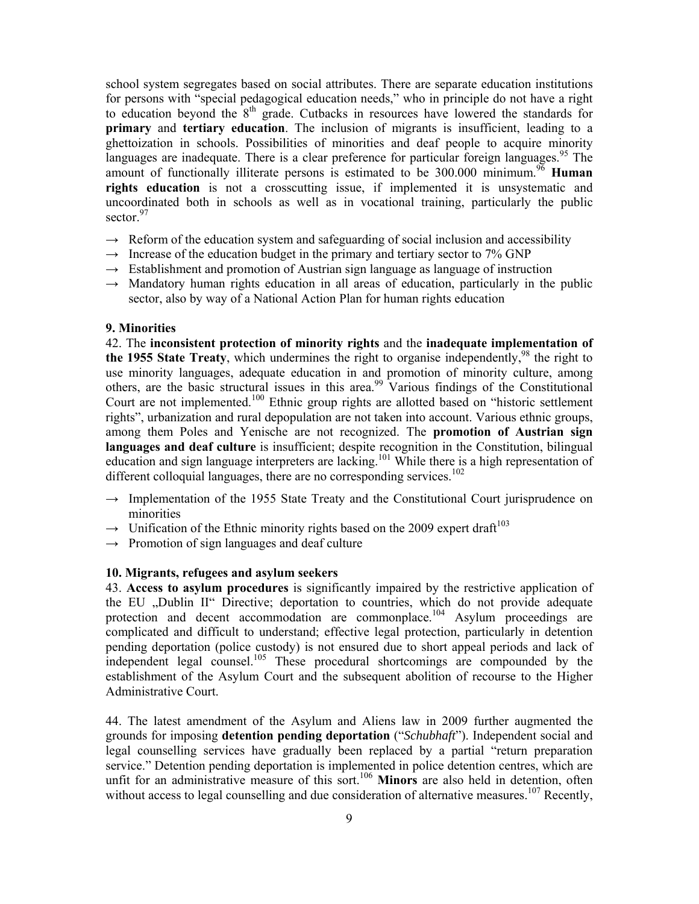school system segregates based on social attributes. There are separate education institutions for persons with "special pedagogical education needs," who in principle do not have a right to education beyond the  $8<sup>th</sup>$  grade. Cutbacks in resources have lowered the standards for **primary** and **tertiary education**. The inclusion of migrants is insufficient, leading to a ghettoization in schools. Possibilities of minorities and deaf people to acquire minority languages are inadequate. There is a clear preference for particular foreign languages.<sup>95</sup> The amount of functionally illiterate persons is estimated to be  $300.000$  minimum.<sup>96</sup> **Human rights education** is not a crosscutting issue, if implemented it is unsystematic and uncoordinated both in schools as well as in vocational training, particularly the public sector.<sup>97</sup>

- $\rightarrow$  Reform of the education system and safeguarding of social inclusion and accessibility
- $\rightarrow$  Increase of the education budget in the primary and tertiary sector to 7% GNP
- **→** Establishment and promotion of Austrian sign language as language of instruction
- $\rightarrow$  Mandatory human rights education in all areas of education, particularly in the public sector, also by way of a National Action Plan for human rights education

# **9. Minorities**

42. The **inconsistent protection of minority rights** and the **inadequate implementation of the 1955 State Treaty**, which undermines the right to organise independently,<sup>98</sup> the right to use minority languages, adequate education in and promotion of minority culture, among others, are the basic structural issues in this area.<sup>99</sup> Various findings of the Constitutional Court are not implemented.<sup>100</sup> Ethnic group rights are allotted based on "historic settlement" rights", urbanization and rural depopulation are not taken into account. Various ethnic groups, among them Poles and Yenische are not recognized. The **promotion of Austrian sign languages and deaf culture** is insufficient; despite recognition in the Constitution, bilingual education and sign language interpreters are lacking.<sup>101</sup> While there is a high representation of different colloquial languages, there are no corresponding services.<sup>102</sup>

- **→** Implementation of the 1955 State Treaty and the Constitutional Court jurisprudence on minorities
- $\rightarrow$  Unification of the Ethnic minority rights based on the 2009 expert draft<sup>103</sup>
- **→** Promotion of sign languages and deaf culture

### **10. Migrants, refugees and asylum seekers**

43. **Access to asylum procedures** is significantly impaired by the restrictive application of the EU "Dublin II" Directive; deportation to countries, which do not provide adequate protection and decent accommodation are commonplace.<sup>104</sup> Asylum proceedings are complicated and difficult to understand; effective legal protection, particularly in detention pending deportation (police custody) is not ensured due to short appeal periods and lack of independent legal counsel.<sup>105</sup> These procedural shortcomings are compounded by the establishment of the Asylum Court and the subsequent abolition of recourse to the Higher Administrative Court.

44. The latest amendment of the Asylum and Aliens law in 2009 further augmented the grounds for imposing **detention pending deportation** ("*Schubhaft*"). Independent social and legal counselling services have gradually been replaced by a partial "return preparation service." Detention pending deportation is implemented in police detention centres, which are unfit for an administrative measure of this sort.<sup>106</sup> Minors are also held in detention, often without access to legal counselling and due consideration of alternative measures.<sup>107</sup> Recently,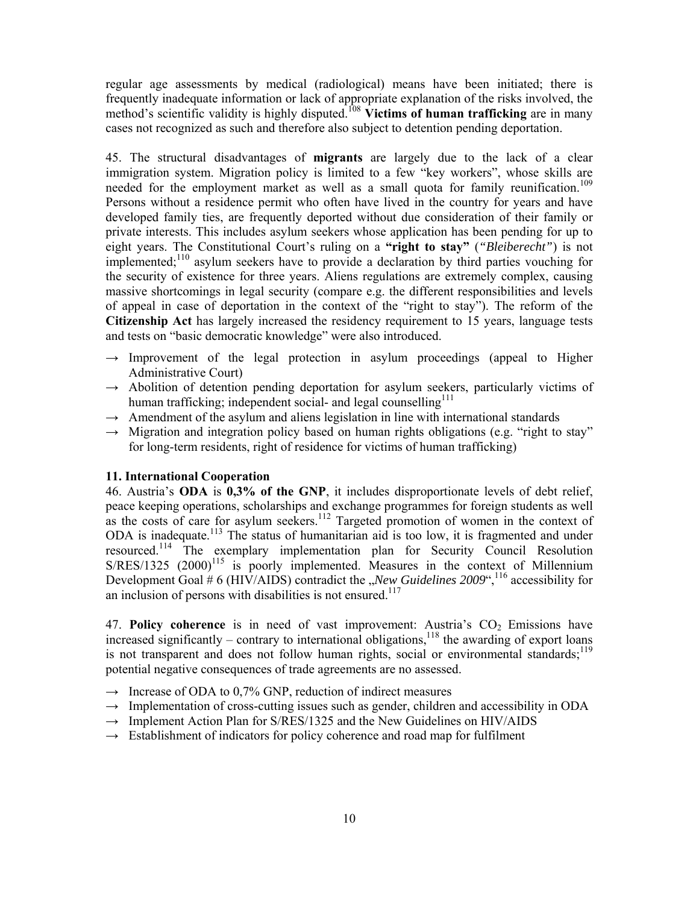regular age assessments by medical (radiological) means have been initiated; there is frequently inadequate information or lack of appropriate explanation of the risks involved, the method's scientific validity is highly disputed.<sup>108</sup> **Victims of human trafficking** are in many cases not recognized as such and therefore also subject to detention pending deportation.

45. The structural disadvantages of **migrants** are largely due to the lack of a clear immigration system. Migration policy is limited to a few "key workers", whose skills are needed for the employment market as well as a small quota for family reunification.<sup>109</sup> Persons without a residence permit who often have lived in the country for years and have developed family ties, are frequently deported without due consideration of their family or private interests. This includes asylum seekers whose application has been pending for up to eight years. The Constitutional Court's ruling on a **"right to stay"** (*"Bleiberecht"*) is not implemented;<sup>110</sup> asylum seekers have to provide a declaration by third parties vouching for the security of existence for three years. Aliens regulations are extremely complex, causing massive shortcomings in legal security (compare e.g. the different responsibilities and levels of appeal in case of deportation in the context of the "right to stay"). The reform of the **Citizenship Act** has largely increased the residency requirement to 15 years, language tests and tests on "basic democratic knowledge" were also introduced.

- $\rightarrow$  Improvement of the legal protection in asylum proceedings (appeal to Higher Administrative Court)
- → Abolition of detention pending deportation for asylum seekers, particularly victims of human trafficking; independent social- and legal counselling $111$
- $\rightarrow$  Amendment of the asylum and aliens legislation in line with international standards
- → Migration and integration policy based on human rights obligations (e.g. "right to stay" for long-term residents, right of residence for victims of human trafficking)

# **11. International Cooperation**

46. Austria's **ODA** is **0,3% of the GNP**, it includes disproportionate levels of debt relief, peace keeping operations, scholarships and exchange programmes for foreign students as well as the costs of care for asylum seekers.<sup>112</sup> Targeted promotion of women in the context of ODA is inadequate.<sup>113</sup> The status of humanitarian aid is too low, it is fragmented and under resourced.114 The exemplary implementation plan for Security Council Resolution  $S/RES/1325$  (2000)<sup>115</sup> is poorly implemented. Measures in the context of Millennium Development Goal  $\#$  6 (HIV/AIDS) contradict the *"New Guidelines* 2009",<sup>116</sup> accessibility for an inclusion of persons with disabilities is not ensured.<sup>117</sup>

47. Policy coherence is in need of vast improvement: Austria's CO<sub>2</sub> Emissions have increased significantly – contrary to international obligations,<sup>118</sup> the awarding of export loans is not transparent and does not follow human rights, social or environmental standards; $^{119}$ potential negative consequences of trade agreements are no assessed.

- **→** Increase of ODA to 0,7% GNP, reduction of indirect measures
- → Implementation of cross-cutting issues such as gender, children and accessibility in ODA
- → Implement Action Plan for S/RES/1325 and the New Guidelines on HIV/AIDS
- **→** Establishment of indicators for policy coherence and road map for fulfilment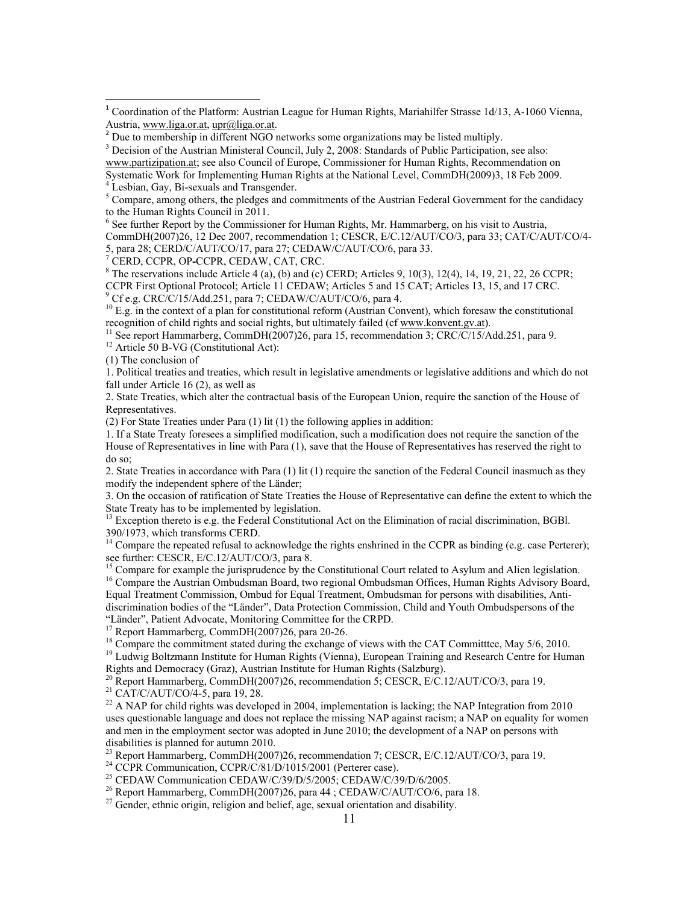<sup>4</sup> Lesbian, Gay, Bi-sexuals and Transgender.

 $5$  Compare, among others, the pledges and commitments of the Austrian Federal Government for the candidacy to the Human Rights Council in 2011.

<sup>6</sup> See further Report by the Commissioner for Human Rights, Mr. Hammarberg, on his visit to Austria, CommDH(2007)26, 12 Dec 2007, recommendation 1; CESCR, E/C.12/AUT/CO/3, para 33; CAT/C/AUT/CO/4- 5, para 28; CERD/C/AUT/CO/17, para 27; CEDAW/C/AUT/CO/6, para 33.

<sup>7</sup> CERD, CCPR, OP-CCPR, CEDAW, CAT, CRC.

 $8$  The reservations include Article 4 (a), (b) and (c) CERD; Articles 9, 10(3), 12(4), 14, 19, 21, 22, 26 CCPR; CCPR First Optional Protocol; Article 11 CEDAW; Articles 5 and 15 CAT; Articles 13, 15, and 17 CRC. 9 Cf e.g. CRC/C/15/Add.251, para 7; CEDAW/C/AUT/CO/6, para 4.

 $^{10}$  E.g. in the context of a plan for constitutional reform (Austrian Convent), which foresaw the constitutional recognition of child rights and social rights, but ultimately failed (cf www.konvent.gv.at).<br><sup>11</sup> See report Hammarberg, CommDH(2007)26, para 15, recommendation 3; CRC/C/15/Add.251, para 9.<br><sup>12</sup> Article 50 B-VG (Constituti

(1) The conclusion of

1. Political treaties and treaties, which result in legislative amendments or legislative additions and which do not fall under Article 16 (2), as well as

2. State Treaties, which alter the contractual basis of the European Union, require the sanction of the House of Representatives.

(2) For State Treaties under Para  $(1)$  lit  $(1)$  the following applies in addition:

1. If a State Treaty foresees a simplified modification, such a modification does not require the sanction of the House of Representatives in line with Para (1), save that the House of Representatives has reserved the right to do so;

2. State Treaties in accordance with Para (1) lit (1) require the sanction of the Federal Council inasmuch as they modify the independent sphere of the Länder;

3. On the occasion of ratification of State Treaties the House of Representative can define the extent to which the State Treaty has to be implemented by legislation.

 $13$  Exception thereto is e.g. the Federal Constitutional Act on the Elimination of racial discrimination, BGBl. 390/1973, which transforms CERD.

 $14$  Compare the repeated refusal to acknowledge the rights enshrined in the CCPR as binding (e.g. case Perterer); see further: CESCR, E/C.12/AUT/CO/3, para 8.

Compare for example the jurisprudence by the Constitutional Court related to Asylum and Alien legislation. <sup>16</sup> Compare the Austrian Ombudsman Board, two regional Ombudsman Offices, Human Rights Advisory Board, Equal Treatment Commission, Ombud for Equal Treatment, Ombudsman for persons with disabilities, Antidiscrimination bodies of the "Länder", Data Protection Commission, Child and Youth Ombudspersons of the "Länder", Patient Advocate, Monitoring Committee for the CRPD.

<sup>17</sup> Report Hammarberg, CommDH(2007)26, para 20-26.

<sup>18</sup> Compare the commitment stated during the exchange of views with the CAT Committee, May 5/6, 2010. <sup>19</sup> Ludwig Boltzmann Institute for Human Rights (Vienna), European Training and Research Centre for Human Rights and Democracy (Graz), Austrian Institute for Human Rights (Salzburg).

<sup>20</sup> Report Hammarberg, CommDH(2007)26, recommendation 5; CESCR, E/C.12/AUT/CO/3, para 19.

<sup>21</sup> CAT/C/AUT/CO/4-5, para 19, 28.

<sup>22</sup> A NAP for child rights was developed in 2004, implementation is lacking; the NAP Integration from 2010 uses questionable language and does not replace the missing NAP against racism; a NAP on equality for women and men in the employment sector was adopted in June 2010; the development of a NAP on persons with disabilities is planned for autumn 2010.

<sup>23</sup> Report Hammarberg, CommDH(2007)26, recommendation 7; CESCR, E/C.12/AUT/CO/3, para 19.

<sup>24</sup> CCPR Communication, CCPR/C/81/D/1015/2001 (Perterer case).

<sup>25</sup> CEDAW Communication CEDAW/C/39/D/5/2005; CEDAW/C/39/D/6/2005.

<sup>26</sup> Report Hammarberg, CommDH(2007)26, para 44 ; CEDAW/C/AUT/CO/6, para 18.

<sup>27</sup> Gender, ethnic origin, religion and belief, age, sexual orientation and disability.

<sup>&</sup>lt;sup>1</sup> Coordination of the Platform: Austrian League for Human Rights, Mariahilfer Strasse 1d/13, A-1060 Vienna, Austria, www.liga.or.at, upr@liga.or.at.

<sup>&</sup>lt;sup>2</sup> Due to membership in different NGO networks some organizations may be listed multiply.

<sup>&</sup>lt;sup>3</sup> Decision of the Austrian Ministeral Council, July 2, 2008: Standards of Public Participation, see also:

www.partizipation.at; see also Council of Europe, Commissioner for Human Rights, Recommendation on Systematic Work for Implementing Human Rights at the National Level, CommDH(2009)3, 18 Feb 2009.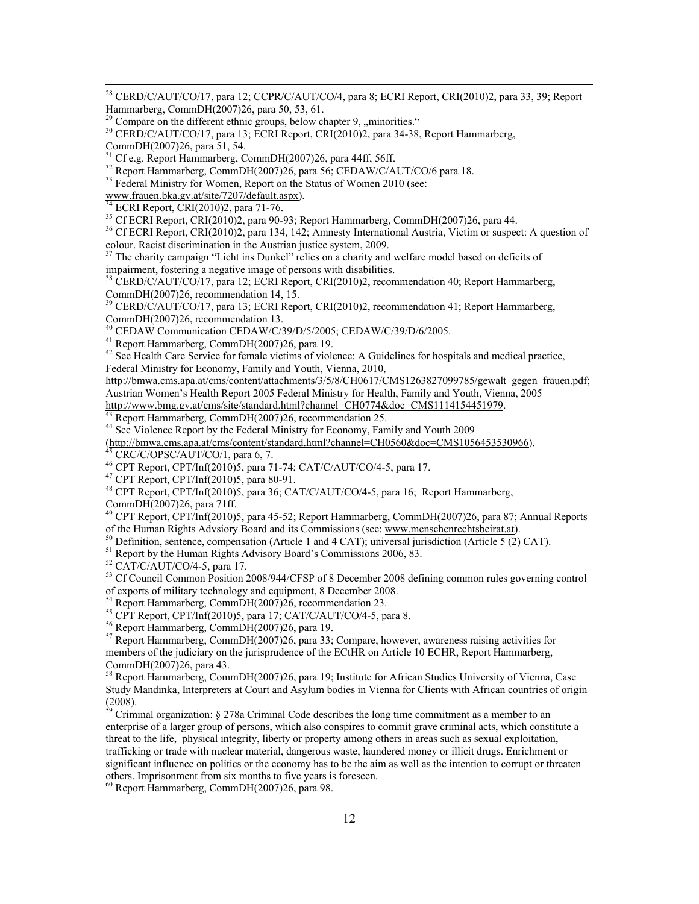<sup>28</sup> CERD/C/AUT/CO/17, para 12; CCPR/C/AUT/CO/4, para 8; ECRI Report, CRI(2010)2, para 33, 39; Report Hammarberg, CommDH(2007)26, para 50, 53, 61.

<sup>30</sup> CERD/C/AUT/CO/17, para 13; ECRI Report, CRI(2010)2, para 34-38, Report Hammarberg,

CommDH(2007)26, para 51, 54.<br><sup>31</sup> Cf e.g. Report Hammarberg, CommDH(2007)26, para 44ff, 56ff.

<sup>32</sup> Report Hammarberg, CommDH(2007)26, para 56; CEDAW/C/AUT/CO/6 para 18.

<sup>33</sup> Federal Ministry for Women, Report on the Status of Women 2010 (see:

www.frauen.bka.gv.at/site/7207/default.aspx).<br><sup>34</sup> ECRI Report, CRI(2010)2, para 71-76.<br><sup>35</sup> Cf ECRI Report, CRI(2010)2, para 90-93; Report Hammarberg, CommDH(2007)26, para 44.

<sup>36</sup> Cf ECRI Report, CRI(2010)2, para 134, 142; Amnesty International Austria, Victim or suspect: A question of colour. Racist discrimination in the Austrian justice system, 2009.

<sup>37</sup> The charity campaign "Licht ins Dunkel" relies on a charity and welfare model based on deficits of impairment, fostering a negative image of persons with disabilities.

38 CERD/C/AUT/CO/17, para 12; ECRI Report, CRI(2010)2, recommendation 40; Report Hammarberg, CommDH(2007)26, recommendation 14, 15.

39 CERD/C/AUT/CO/17, para 13; ECRI Report, CRI(2010)2, recommendation 41; Report Hammarberg, CommDH(2007)26, recommendation 13.

40 CEDAW Communication CEDAW/C/39/D/5/2005; CEDAW/C/39/D/6/2005.

41 Report Hammarberg, CommDH(2007)26, para 19.

<sup>42</sup> See Health Care Service for female victims of violence: A Guidelines for hospitals and medical practice, Federal Ministry for Economy, Family and Youth, Vienna, 2010,

http://bmwa.cms.apa.at/cms/content/attachments/3/5/8/CH0617/CMS1263827099785/gewalt\_gegen\_frauen.pdf; Austrian Women's Health Report 2005 Federal Ministry for Health, Family and Youth, Vienna, 2005

http://www.bmg.gv.at/cms/site/standard.html?channel=CH0774&doc=CMS1114154451979. 43 Report Hammarberg, CommDH(2007)26, recommendation 25.

<sup>44</sup> See Violence Report by the Federal Ministry for Economy, Family and Youth 2009

(http://bmwa.cms.apa.at/cms/content/standard.html?channel=CH0560&doc=CMS1056453530966). 45 CRC/C/OPSC/AUT/CO/1, para 6, 7.

46 CPT Report, CPT/Inf(2010)5, para 71-74; CAT/C/AUT/CO/4-5, para 17.

47 CPT Report, CPT/Inf(2010)5, para 80-91.

48 CPT Report, CPT/Inf(2010)5, para 36; CAT/C/AUT/CO/4-5, para 16; Report Hammarberg, CommDH(2007)26, para 71ff.

<sup>49</sup> CPT Report, CPT/Inf(2010)5, para 45-52; Report Hammarberg, CommDH(2007)26, para 87; Annual Reports of the Human Rights Advsiory Board and its Commissions (see: www.menschenrechtsbeirat.at).

<sup>50</sup> Definition, sentence, compensation (Article 1 and 4 CAT); universal jurisdiction (Article 5 (2) CAT).

<sup>51</sup> Report by the Human Rights Advisory Board's Commissions 2006, 83.

 $52$  CAT/C/AUT/CO/4-5, para 17.

<sup>53</sup> Cf Council Common Position 2008/944/CFSP of 8 December 2008 defining common rules governing control of exports of military technology and equipment, 8 December 2008.

 $54$  Report Hammarberg, CommDH(2007)26, recommendation 23.

 $^{55}$  CPT Report, CPT/Inf(2010)5, para 17; CAT/C/AUT/CO/4-5, para 8.

56 Report Hammarberg, CommDH(2007)26, para 19.

<sup>57</sup> Report Hammarberg, CommDH(2007)26, para 33; Compare, however, awareness raising activities for members of the judiciary on the jurisprudence of the ECtHR on Article 10 ECHR, Report Hammarberg, CommDH(2007)26, para 43.

58 Report Hammarberg, CommDH(2007)26, para 19; Institute for African Studies University of Vienna, Case Study Mandinka, Interpreters at Court and Asylum bodies in Vienna for Clients with African countries of origin (2008).

 $\frac{59}{2}$  Criminal organization: § 278a Criminal Code describes the long time commitment as a member to an enterprise of a larger group of persons, which also conspires to commit grave criminal acts, which constitute a threat to the life, physical integrity, liberty or property among others in areas such as sexual exploitation, trafficking or trade with nuclear material, dangerous waste, laundered money or illicit drugs. Enrichment or significant influence on politics or the economy has to be the aim as well as the intention to corrupt or threaten others. Imprisonment from six months to five years is foreseen.

60 Report Hammarberg, CommDH(2007)26, para 98.

Compare on the different ethnic groups, below chapter 9, "minorities."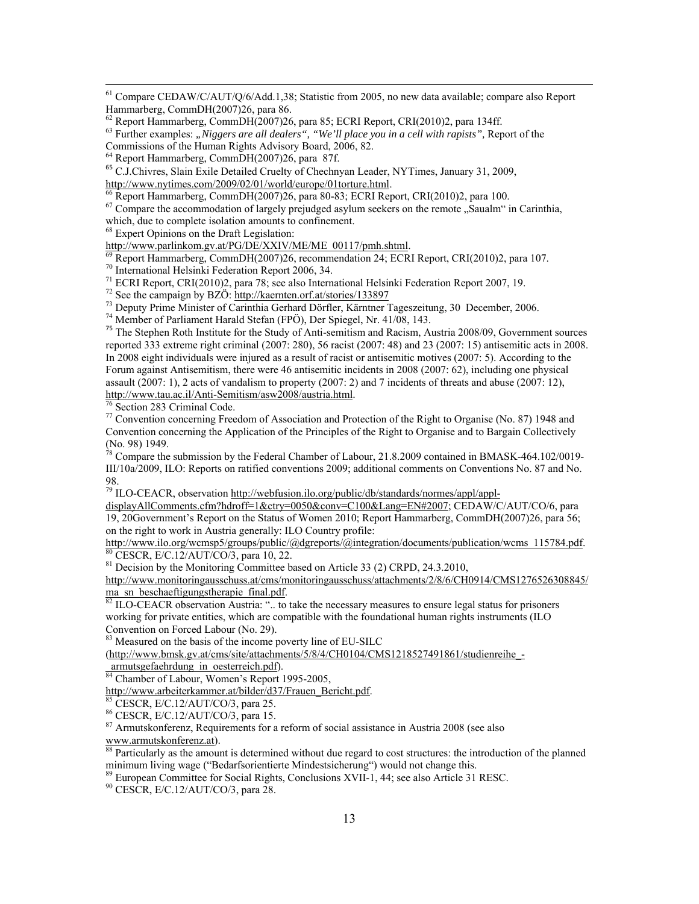61 Compare CEDAW/C/AUT/Q/6/Add.1,38; Statistic from 2005, no new data available; compare also Report Hammarberg, CommDH(2007)26, para 86.<br><sup>62</sup> Report Hammarberg, CommDH(2007)26, para 85; ECRI Report, CRI(2010)2, para 134ff.

<sup>63</sup> Further examples: "Niggers are all dealers", "We'll place you in a cell with rapists", Report of the

 $65$  C.J.Chivres, Slain Exile Detailed Cruelty of Chechnyan Leader, NYTimes, January 31, 2009, http://www.nytimes.com/2009/02/01/world/europe/01torture.html.

 $\frac{66}{66}$  Report Hammarberg, CommDH(2007)26, para 80-83; ECRI Report, CRI(2010)2, para 100.

<sup>67</sup> Compare the accommodation of largely prejudged asylum seekers on the remote "Saualm" in Carinthia, which, due to complete isolation amounts to confinement.

<sup>68</sup> Expert Opinions on the Draft Legislation:<br>http://www.parlinkom.gv.at/PG/DE/XXIV/ME/ME 00117/pmh.shtml.

 $\frac{69}{70}$  Report Hammarberg, CommDH(2007)26, recommendation 24; ECRI Report, CRI(2010)2, para 107. 70 International Helsinki Federation Report 2006, 34.

<sup>71</sup> ECRI Report, CRI(2010)2, para 78; see also International Helsinki Federation Report 2007, 19.<br><sup>72</sup> See the campaign by BZÖ: http://kaernten.orf.at/stories/133897

 $^{73}$  Deputy Prime Minister of Carinthia Gerhard Dörfler, Kärntner Tageszeitung, 30 December, 2006.

74 Member of Parliament Harald Stefan (FPÖ), Der Spiegel, Nr. 41/08, 143.

<sup>75</sup> The Stephen Roth Institute for the Study of Anti-semitism and Racism, Austria 2008/09, Government sources reported 333 extreme right criminal (2007: 280), 56 racist (2007: 48) and 23 (2007: 15) antisemitic acts in 2008. In 2008 eight individuals were injured as a result of racist or antisemitic motives (2007: 5). According to the Forum against Antisemitism, there were 46 antisemitic incidents in 2008 (2007: 62), including one physical assault (2007: 1), 2 acts of vandalism to property (2007: 2) and 7 incidents of threats and abuse (2007: 12), http://www.tau.ac.il/Anti-Semitism/asw2008/austria.html.<br><sup>76</sup> Section 283 Criminal Code.

77 Convention concerning Freedom of Association and Protection of the Right to Organise (No. 87) 1948 and Convention concerning the Application of the Principles of the Right to Organise and to Bargain Collectively (No. 98) 1949.

 $\frac{78}{18}$  Compare the submission by the Federal Chamber of Labour, 21.8.2009 contained in BMASK-464.102/0019-III/10a/2009, ILO: Reports on ratified conventions 2009; additional comments on Conventions No. 87 and No. 98.

<sup>79</sup> ILO-CEACR, observation http://webfusion.ilo.org/public/db/standards/normes/appl/appl-

displayAllComments.cfm?hdroff=1&ctry=0050&conv=C100&Lang=EN#2007; CEDAW/C/AUT/CO/6, para 19, 20Government's Report on the Status of Women 2010; Report Hammarberg, CommDH(2007)26, para 56; on the right to work in Austria generally: ILO Country profile:

http://www.ilo.org/wcmsp5/groups/public/@dgreports/@integration/documents/publication/wcms\_115784.pdf. 80 CESCR, E/C.12/AUT/CO/3, para 10, 22.

<sup>81</sup> Decision by the Monitoring Committee based on Article 33 (2) CRPD, 24.3.2010,

http://www.monitoringausschuss.at/cms/monitoringausschuss/attachments/2/8/6/CH0914/CMS1276526308845/<br>ma sn beschaeftigungstherapie final.pdf.

 $\overline{{}^{82}$  ILO-CEACR observation Austria: ".. to take the necessary measures to ensure legal status for prisoners working for private entities, which are compatible with the foundational human rights instruments (ILO Convention on Forced Labour (No. 29).

<sup>83</sup> Measured on the basis of the income poverty line of EU-SILC

(http://www.bmsk.gv.at/cms/site/attachments/5/8/4/CH0104/CMS1218527491861/studienreihe\_-

armutsgefaehrdung\_in\_oesterreich.pdf).<br><sup>84</sup> Chamber of Labour, Women's Report 1995-2005,

http://www.arbeiterkammer.at/bilder/d37/Frauen\_Bericht.pdf. 85 CESCR, E/C.12/AUT/CO/3, para 25.

86 CESCR, E/C.12/AUT/CO/3, para 15.

<sup>87</sup> Armutskonferenz, Requirements for a reform of social assistance in Austria 2008 (see also www.armutskonferenz.at).<br><sup>88</sup> Particularly as the amount is determined without due regard to cost structures: the introduction of the planned

minimum living wage ("Bedarfsorientierte Mindestsicherung") would not change this.

89 European Committee for Social Rights, Conclusions XVII-1, 44; see also Article 31 RESC.

90 CESCR, E/C.12/AUT/CO/3, para 28.

Commissions of the Human Rights Advisory Board, 2006, 82.

<sup>64</sup> Report Hammarberg, CommDH(2007)26, para 87f.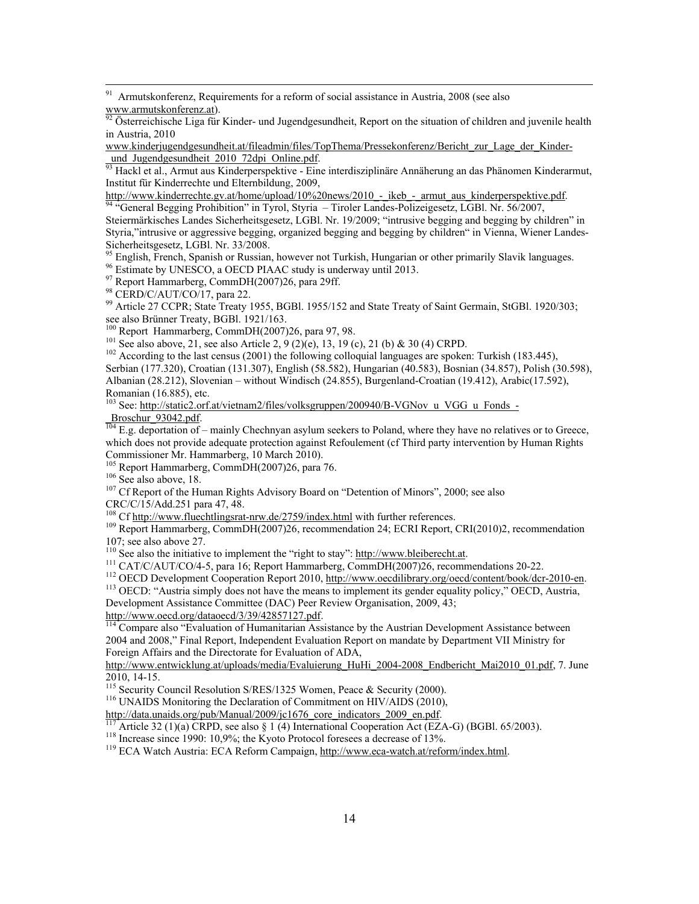<sup>91</sup> Armutskonferenz, Requirements for a reform of social assistance in Austria, 2008 (see also www.armutskonferenz.at).<br>
<sup>92</sup> Ostorreishinska Line Su Viet Line Cu Viet Line Su Viet Line Cu Viet Line Su Viet Line Su Viet

Österreichische Liga für Kinder- und Jugendgesundheit. Report on the situation of children and juvenile health in Austria, 2010

www.kinderjugendgesundheit.at/fileadmin/files/TopThema/Pressekonferenz/Bericht\_zur\_Lage\_der\_Kinder-<br>und Jugendgesundheit 2010 72dpi Online.pdf.

<sup>93</sup> Hackl et al., Armut aus Kinderperspektive - Eine interdisziplinäre Annäherung an das Phänomen Kinderarmut, Institut für Kinderrechte und Elternbildung, 2009,<br>http://www.kinderrechte.gv.at/home/upload/10%20news/2010 - ikeb - armut aus kinderperspektive.pdf.

<sup>2</sup>General Begging Prohibition" in Tyrol, Styria – Tiroler Landes-Polizeigesetz, LGBl. Nr. 56/2007, Steiermärkisches Landes Sicherheitsgesetz, LGBl. Nr. 19/2009; "intrusive begging and begging by children" in Styria,"intrusive or aggressive begging, organized begging and begging by children" in Vienna, Wiener Landes-Sicherheitsgesetz, LGBl. Nr. 33/2008.

<sup>95</sup> English, French, Spanish or Russian, however not Turkish, Hungarian or other primarily Slavik languages.

96 Estimate by UNESCO, a OECD PIAAC study is underway until 2013.

<sup>97</sup> Report Hammarberg, CommDH(2007)26, para 29ff.

98 CERD/C/AUT/CO/17, para 22.

<sup>99</sup> Article 27 CCPR; State Treaty 1955, BGBl. 1955/152 and State Treaty of Saint Germain, StGBl. 1920/303; see also Brünner Treaty, BGBI. 1921/163.<br>
<sup>100</sup> Report Hammarberg, CommDH(2007)26, para 97, 98.<br>
<sup>101</sup> See also above, 21, see also Article 2, 9 (2)(e), 13, 19 (c), 21 (b) & 30 (4) CRPD.<br>
<sup>102</sup> According to the last censu

Serbian (177.320), Croatian (131.307), English (58.582), Hungarian (40.583), Bosnian (34.857), Polish (30.598), Albanian (28.212), Slovenian – without Windisch (24.855), Burgenland-Croatian (19.412), Arabic(17.592), Romanian (16.885), etc.

<sup>103</sup> See: http://static2.orf.at/vietnam2/files/volksgruppen/200940/B-VGNov\_u\_VGG\_u\_Fonds\_-

 $\frac{\text{Broschur}}{104}$  E.g. deportation of – mainly Chechnyan asylum seekers to Poland, where they have no relatives or to Greece, which does not provide adequate protection against Refoulement (cf Third party intervention by Human Rights Commissioner Mr. Hammarberg, 10 March 2010).<br><sup>105</sup> Report Hammarberg, CommDH(2007)26, para 76.

<sup>106</sup> See also above, 18.<br><sup>107</sup> Cf Report of the Human Rights Advisory Board on "Detention of Minors", 2000; see also CRC/C/15/Add.251 para 47, 48.<br><sup>108</sup> Cf http://www.fluechtlingsrat-nrw.de/2759/index.html with further references.

<sup>109</sup> Report Hammarberg, CommDH(2007)26, recommendation 24; ECRI Report, CRI(2010)2, recommendation 107; see also above 27.<br>
<sup>110</sup> See also the initiative to implement the "right to stay": http://www.bleiberecht.at.

<sup>112</sup> CAT/C/AUT/CO/4-5, para 16; Report Hammarberg, CommDH(2007)26, recommendations 20-22.<br><sup>112</sup> OECD Development Cooperation Report 2010, http://www.oecdilibrary.org/oecd/content/book/dcr-2010-en.<br><sup>113</sup> OECD: "Austria sim

Development Assistance Committee (DAC) Peer Review Organisation, 2009, 43; http://www.oecd.org/dataoecd/3/39/42857127.pdf.

 $\frac{1}{114}$  Compare also "Evaluation of Humanitarian Assistance by the Austrian Development Assistance between 2004 and 2008," Final Report, Independent Evaluation Report on mandate by Department VII Ministry for

Foreign Affairs and the Directorate for Evaluation of ADA, http://www.entwicklung.at/uploads/media/Evaluierung\_HuHi\_2004-2008\_Endbericht\_Mai2010\_01.pdf, 7. June

2010, 14-15.<br><sup>115</sup> Security Council Resolution S/RES/1325 Women, Peace & Security (2000).

<sup>116</sup> UNAIDS Monitoring the Declaration of Commitment on HIV/AIDS (2010), http://data.unaids.org/pub/Manual/2009/jc1676 core indicators 2009 en.pdf.

<sup>117</sup> Article 32 (1)(a)  $\widehat{CRPD}$ , see also § 1 (4) International Cooperation Act (EZA-G) (BGBI. 65/2003).<br><sup>118</sup> Increase since 1990: 10,9%; the Kyoto Protocol foresees a decrease of 13%.<br><sup>119</sup> ECA Watch Austria: ECA Refo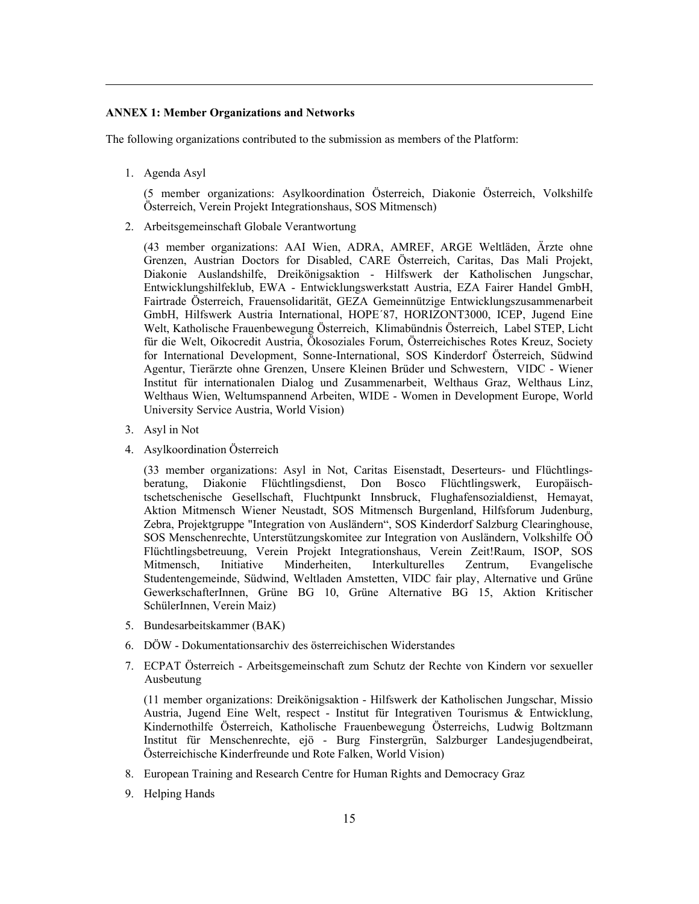## **ANNEX 1: Member Organizations and Networks**

The following organizations contributed to the submission as members of the Platform:

1. Agenda Asyl

(5 member organizations: Asylkoordination Österreich, Diakonie Österreich, Volkshilfe Österreich, Verein Projekt Integrationshaus, SOS Mitmensch)

2. Arbeitsgemeinschaft Globale Verantwortung

(43 member organizations: AAI Wien, ADRA, AMREF, ARGE Weltläden, Ärzte ohne Grenzen, Austrian Doctors for Disabled, CARE Österreich, Caritas, Das Mali Projekt, Diakonie Auslandshilfe, Dreikönigsaktion - Hilfswerk der Katholischen Jungschar, Entwicklungshilfeklub, EWA - Entwicklungswerkstatt Austria, EZA Fairer Handel GmbH, Fairtrade Österreich, Frauensolidarität, GEZA Gemeinnützige Entwicklungszusammenarbeit GmbH, Hilfswerk Austria International, HOPE´87, HORIZONT3000, ICEP, Jugend Eine Welt, Katholische Frauenbewegung Österreich, Klimabündnis Österreich, Label STEP, Licht für die Welt, Oikocredit Austria, Ökosoziales Forum, Österreichisches Rotes Kreuz, Society for International Development, Sonne-International, SOS Kinderdorf Österreich, Südwind Agentur, Tierärzte ohne Grenzen, Unsere Kleinen Brüder und Schwestern, VIDC - Wiener Institut für internationalen Dialog und Zusammenarbeit, Welthaus Graz, Welthaus Linz, Welthaus Wien, Weltumspannend Arbeiten, WIDE - Women in Development Europe, World University Service Austria, World Vision)

- 3. Asyl in Not
- 4. Asylkoordination Österreich

(33 member organizations: Asyl in Not, Caritas Eisenstadt, Deserteurs- und Flüchtlingsberatung, Diakonie Flüchtlingsdienst, Don Bosco Flüchtlingswerk, Europäischtschetschenische Gesellschaft, Fluchtpunkt Innsbruck, Flughafensozialdienst, Hemayat, Aktion Mitmensch Wiener Neustadt, SOS Mitmensch Burgenland, Hilfsforum Judenburg, Zebra, Projektgruppe "Integration von Ausländern", SOS Kinderdorf Salzburg Clearinghouse, SOS Menschenrechte, Unterstützungskomitee zur Integration von Ausländern, Volkshilfe OÖ Flüchtlingsbetreuung, Verein Projekt Integrationshaus, Verein Zeit!Raum, ISOP, SOS Mitmensch, Initiative Minderheiten, Interkulturelles Zentrum, Evangelische Studentengemeinde, Südwind, Weltladen Amstetten, VIDC fair play, Alternative und Grüne GewerkschafterInnen, Grüne BG 10, Grüne Alternative BG 15, Aktion Kritischer SchülerInnen, Verein Maiz)

- 5. Bundesarbeitskammer (BAK)
- 6. DÖW Dokumentationsarchiv des österreichischen Widerstandes
- 7. ECPAT Österreich Arbeitsgemeinschaft zum Schutz der Rechte von Kindern vor sexueller Ausbeutung

(11 member organizations: Dreikönigsaktion - Hilfswerk der Katholischen Jungschar, Missio Austria, Jugend Eine Welt, respect - Institut für Integrativen Tourismus & Entwicklung, Kindernothilfe Österreich, Katholische Frauenbewegung Österreichs, Ludwig Boltzmann Institut für Menschenrechte, ejö - Burg Finstergrün, Salzburger Landesjugendbeirat, Österreichische Kinderfreunde und Rote Falken, World Vision)

- 8. European Training and Research Centre for Human Rights and Democracy Graz
- 9. Helping Hands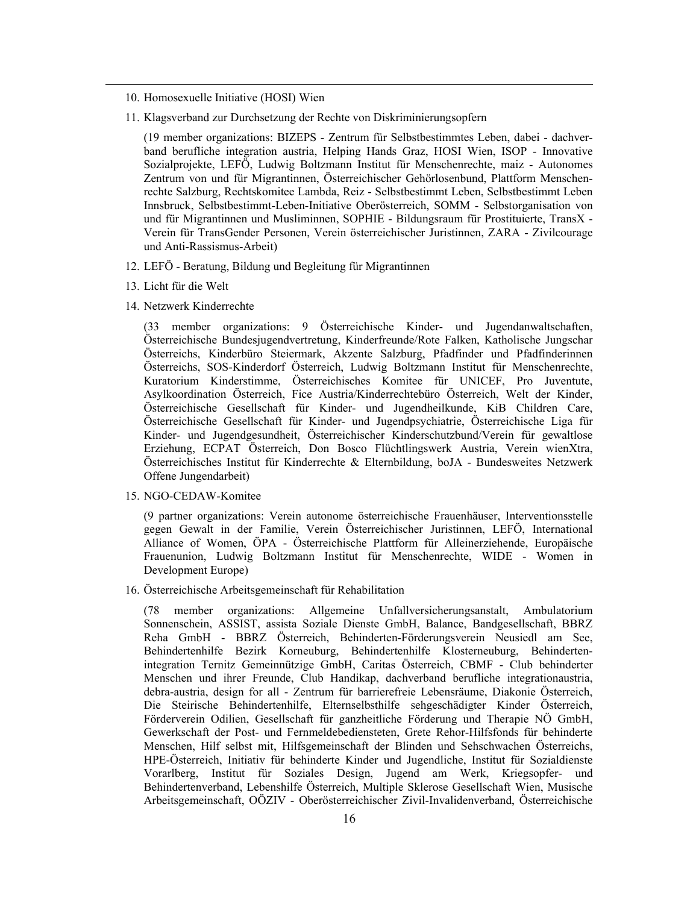- 10. Homosexuelle Initiative (HOSI) Wien
- 11. Klagsverband zur Durchsetzung der Rechte von Diskriminierungsopfern

(19 member organizations: BIZEPS - Zentrum für Selbstbestimmtes Leben, dabei - dachverband berufliche integration austria, Helping Hands Graz, HOSI Wien, ISOP - Innovative Sozialprojekte, LEFÖ, Ludwig Boltzmann Institut für Menschenrechte, maiz - Autonomes Zentrum von und für Migrantinnen, Österreichischer Gehörlosenbund, Plattform Menschenrechte Salzburg, Rechtskomitee Lambda, Reiz - Selbstbestimmt Leben, Selbstbestimmt Leben Innsbruck, Selbstbestimmt-Leben-Initiative Oberösterreich, SOMM - Selbstorganisation von und für Migrantinnen und Musliminnen, SOPHIE - Bildungsraum für Prostituierte, TransX - Verein für TransGender Personen, Verein österreichischer Juristinnen, ZARA - Zivilcourage und Anti-Rassismus-Arbeit)

- 12. LEFÖ Beratung, Bildung und Begleitung für Migrantinnen
- 13. Licht für die Welt
- 14. Netzwerk Kinderrechte

(33 member organizations: 9 Österreichische Kinder- und Jugendanwaltschaften, Österreichische Bundesjugendvertretung, Kinderfreunde/Rote Falken, Katholische Jungschar Österreichs, Kinderbüro Steiermark, Akzente Salzburg, Pfadfinder und Pfadfinderinnen Österreichs, SOS-Kinderdorf Österreich, Ludwig Boltzmann Institut für Menschenrechte, Kuratorium Kinderstimme, Österreichisches Komitee für UNICEF, Pro Juventute, Asylkoordination Österreich, Fice Austria/Kinderrechtebüro Österreich, Welt der Kinder, Österreichische Gesellschaft für Kinder- und Jugendheilkunde, KiB Children Care, Österreichische Gesellschaft für Kinder- und Jugendpsychiatrie, Österreichische Liga für Kinder- und Jugendgesundheit, Österreichischer Kinderschutzbund/Verein für gewaltlose Erziehung, ECPAT Österreich, Don Bosco Flüchtlingswerk Austria, Verein wienXtra, Österreichisches Institut für Kinderrechte & Elternbildung, boJA - Bundesweites Netzwerk Offene Jungendarbeit)

15. NGO-CEDAW-Komitee

(9 partner organizations: Verein autonome österreichische Frauenhäuser, Interventionsstelle gegen Gewalt in der Familie, Verein Österreichischer Juristinnen, LEFÖ, International Alliance of Women, ÖPA - Österreichische Plattform für Alleinerziehende, Europäische Frauenunion, Ludwig Boltzmann Institut für Menschenrechte, WIDE - Women in Development Europe)

16. Österreichische Arbeitsgemeinschaft für Rehabilitation

(78 member organizations: Allgemeine Unfallversicherungsanstalt, Ambulatorium Sonnenschein, ASSIST, assista Soziale Dienste GmbH, Balance, Bandgesellschaft, BBRZ Reha GmbH - BBRZ Österreich, Behinderten-Förderungsverein Neusiedl am See, Behindertenhilfe Bezirk Korneuburg, Behindertenhilfe Klosterneuburg, Behindertenintegration Ternitz Gemeinnützige GmbH, Caritas Österreich, CBMF - Club behinderter Menschen und ihrer Freunde, Club Handikap, dachverband berufliche integrationaustria, debra-austria, design for all - Zentrum für barrierefreie Lebensräume, Diakonie Österreich, Die Steirische Behindertenhilfe, Elternselbsthilfe sehgeschädigter Kinder Österreich, Förderverein Odilien, Gesellschaft für ganzheitliche Förderung und Therapie NÖ GmbH, Gewerkschaft der Post- und Fernmeldebediensteten, Grete Rehor-Hilfsfonds für behinderte Menschen, Hilf selbst mit, Hilfsgemeinschaft der Blinden und Sehschwachen Österreichs, HPE-Österreich, Initiativ für behinderte Kinder und Jugendliche, Institut für Sozialdienste Vorarlberg, Institut für Soziales Design, Jugend am Werk, Kriegsopfer- und Behindertenverband, Lebenshilfe Österreich, Multiple Sklerose Gesellschaft Wien, Musische Arbeitsgemeinschaft, OÖZIV - Oberösterreichischer Zivil-Invalidenverband, Österreichische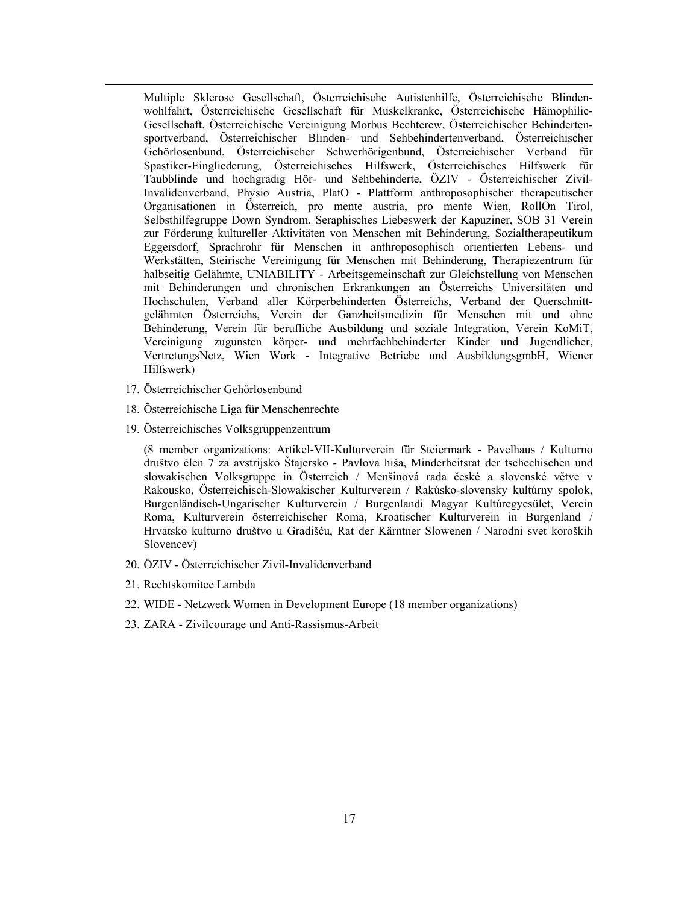Multiple Sklerose Gesellschaft, Österreichische Autistenhilfe, Österreichische Blindenwohlfahrt, Österreichische Gesellschaft für Muskelkranke, Österreichische Hämophilie-Gesellschaft, Österreichische Vereinigung Morbus Bechterew, Österreichischer Behindertensportverband, Österreichischer Blinden- und Sehbehindertenverband, Österreichischer Gehörlosenbund, Österreichischer Schwerhörigenbund, Österreichischer Verband für Spastiker-Eingliederung, Österreichisches Hilfswerk, Österreichisches Hilfswerk für Taubblinde und hochgradig Hör- und Sehbehinderte, ÖZIV - Österreichischer Zivil-Invalidenverband, Physio Austria, PlatO - Plattform anthroposophischer therapeutischer Organisationen in Österreich, pro mente austria, pro mente Wien, RollOn Tirol, Selbsthilfegruppe Down Syndrom, Seraphisches Liebeswerk der Kapuziner, SOB 31 Verein zur Förderung kultureller Aktivitäten von Menschen mit Behinderung, Sozialtherapeutikum Eggersdorf, Sprachrohr für Menschen in anthroposophisch orientierten Lebens- und Werkstätten, Steirische Vereinigung für Menschen mit Behinderung, Therapiezentrum für halbseitig Gelähmte, UNIABILITY - Arbeitsgemeinschaft zur Gleichstellung von Menschen mit Behinderungen und chronischen Erkrankungen an Österreichs Universitäten und Hochschulen, Verband aller Körperbehinderten Österreichs, Verband der Querschnittgelähmten Österreichs, Verein der Ganzheitsmedizin für Menschen mit und ohne Behinderung, Verein für berufliche Ausbildung und soziale Integration, Verein KoMiT, Vereinigung zugunsten körper- und mehrfachbehinderter Kinder und Jugendlicher, VertretungsNetz, Wien Work - Integrative Betriebe und AusbildungsgmbH, Wiener Hilfswerk)

- 17. Österreichischer Gehörlosenbund
- 18. Österreichische Liga für Menschenrechte
- 19. Österreichisches Volksgruppenzentrum

(8 member organizations: Artikel-VII-Kulturverein für Steiermark - Pavelhaus / Kulturno društvo člen 7 za avstrijsko Štajersko - Pavlova hiša, Minderheitsrat der tschechischen und slowakischen Volksgruppe in Österreich / Menšinová rada české a slovenské větve v Rakousko, Österreichisch-Slowakischer Kulturverein / Rakúsko-slovensky kultúrny spolok, Burgenländisch-Ungarischer Kulturverein / Burgenlandi Magyar Kultúregyesület, Verein Roma, Kulturverein österreichischer Roma, Kroatischer Kulturverein in Burgenland / Hrvatsko kulturno društvo u Gradišću, Rat der Kärntner Slowenen / Narodni svet koroških Slovencev)

- 20. ÖZIV Österreichischer Zivil-Invalidenverband
- 21. Rechtskomitee Lambda
- 22. WIDE Netzwerk Women in Development Europe (18 member organizations)
- 23. ZARA Zivilcourage und Anti-Rassismus-Arbeit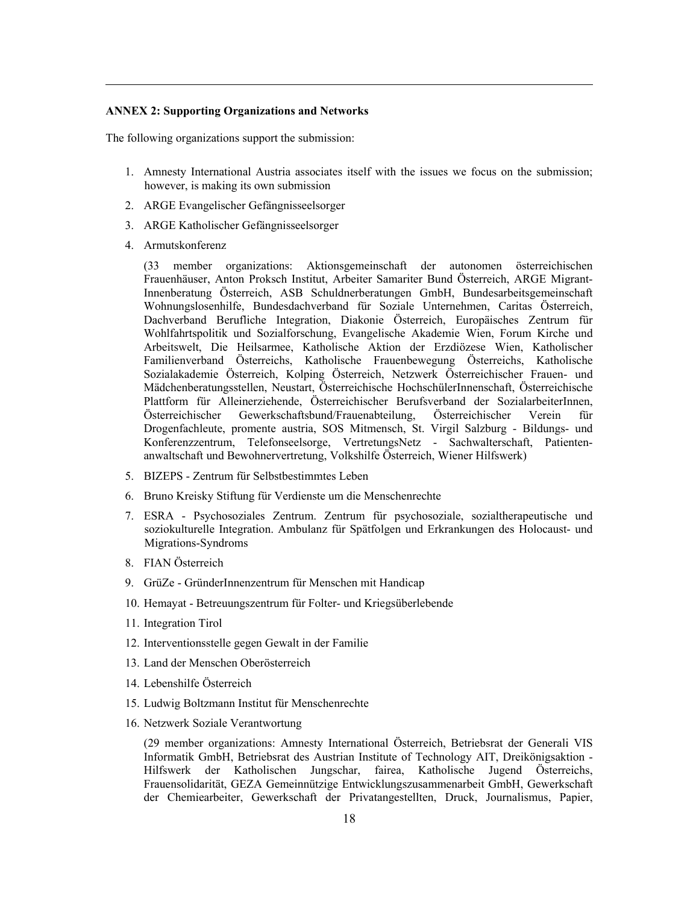#### **ANNEX 2: Supporting Organizations and Networks**

The following organizations support the submission:

1. Amnesty International Austria associates itself with the issues we focus on the submission; however, is making its own submission

- 2. ARGE Evangelischer Gefängnisseelsorger
- 3. ARGE Katholischer Gefängnisseelsorger
- 4. Armutskonferenz

(33 member organizations: Aktionsgemeinschaft der autonomen österreichischen Frauenhäuser, Anton Proksch Institut, Arbeiter Samariter Bund Österreich, ARGE Migrant-Innenberatung Österreich, ASB Schuldnerberatungen GmbH, Bundesarbeitsgemeinschaft Wohnungslosenhilfe, Bundesdachverband für Soziale Unternehmen, Caritas Österreich, Dachverband Berufliche Integration, Diakonie Österreich, Europäisches Zentrum für Wohlfahrtspolitik und Sozialforschung, Evangelische Akademie Wien, Forum Kirche und Arbeitswelt, Die Heilsarmee, Katholische Aktion der Erzdiözese Wien, Katholischer Familienverband Österreichs, Katholische Frauenbewegung Österreichs, Katholische Sozialakademie Österreich, Kolping Österreich, Netzwerk Österreichischer Frauen- und Mädchenberatungsstellen, Neustart, Österreichische HochschülerInnenschaft, Österreichische Plattform für Alleinerziehende, Österreichischer Berufsverband der SozialarbeiterInnen, Österreichischer Gewerkschaftsbund/Frauenabteilung, Österreichischer Verein für Drogenfachleute, promente austria, SOS Mitmensch, St. Virgil Salzburg - Bildungs- und Konferenzzentrum, Telefonseelsorge, VertretungsNetz - Sachwalterschaft, Patientenanwaltschaft und Bewohnervertretung, Volkshilfe Österreich, Wiener Hilfswerk)

- 5. BIZEPS Zentrum für Selbstbestimmtes Leben
- 6. Bruno Kreisky Stiftung für Verdienste um die Menschenrechte
- 7. ESRA Psychosoziales Zentrum. Zentrum für psychosoziale, sozialtherapeutische und soziokulturelle Integration. Ambulanz für Spätfolgen und Erkrankungen des Holocaust- und Migrations-Syndroms
- 8. FIAN Österreich
- 9. GrüZe GründerInnenzentrum für Menschen mit Handicap
- 10. Hemayat Betreuungszentrum für Folter- und Kriegsüberlebende
- 11. Integration Tirol
- 12. Interventionsstelle gegen Gewalt in der Familie
- 13. Land der Menschen Oberösterreich
- 14. Lebenshilfe Österreich
- 15. Ludwig Boltzmann Institut für Menschenrechte
- 16. Netzwerk Soziale Verantwortung

(29 member organizations: Amnesty International Österreich, Betriebsrat der Generali VIS Informatik GmbH, Betriebsrat des Austrian Institute of Technology AIT, Dreikönigsaktion - Hilfswerk der Katholischen Jungschar, fairea, Katholische Jugend Österreichs, Frauensolidarität, GEZA Gemeinnützige Entwicklungszusammenarbeit GmbH, Gewerkschaft der Chemiearbeiter, Gewerkschaft der Privatangestellten, Druck, Journalismus, Papier,